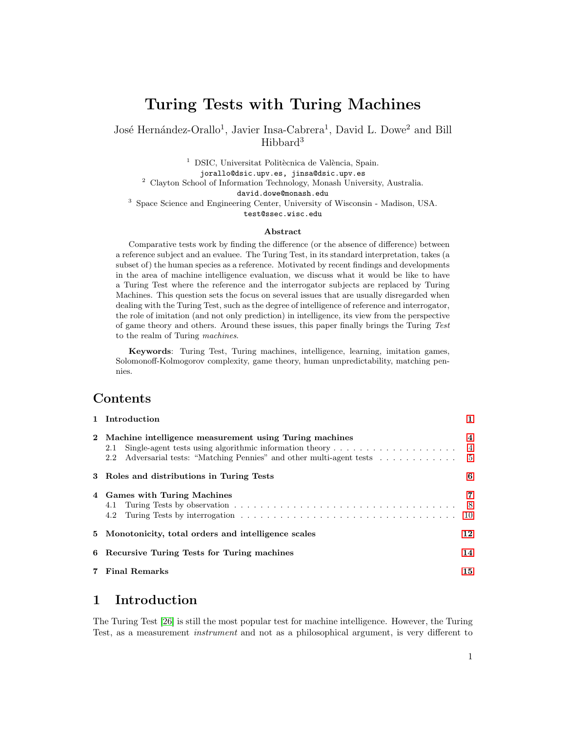# Turing Tests with Turing Machines

José Hernández-Orallo<sup>1</sup>, Javier Insa-Cabrera<sup>1</sup>, David L. Dowe<sup>2</sup> and Bill Hibbard<sup>3</sup>

 $1$  DSIC, Universitat Politècnica de València, Spain. jorallo@dsic.upv.es, jinsa@dsic.upv.es <sup>2</sup> Clayton School of Information Technology, Monash University, Australia. david.dowe@monash.edu <sup>3</sup> Space Science and Engineering Center, University of Wisconsin - Madison, USA. test@ssec.wisc.edu

#### Abstract

Comparative tests work by finding the difference (or the absence of difference) between a reference subject and an evaluee. The Turing Test, in its standard interpretation, takes (a subset of) the human species as a reference. Motivated by recent findings and developments in the area of machine intelligence evaluation, we discuss what it would be like to have a Turing Test where the reference and the interrogator subjects are replaced by Turing Machines. This question sets the focus on several issues that are usually disregarded when dealing with the Turing Test, such as the degree of intelligence of reference and interrogator, the role of imitation (and not only prediction) in intelligence, its view from the perspective of game theory and others. Around these issues, this paper finally brings the Turing Test to the realm of Turing machines.

Keywords: Turing Test, Turing machines, intelligence, learning, imitation games, Solomonoff-Kolmogorov complexity, game theory, human unpredictability, matching pennies.

# Contents

| 1 Introduction                                                         | 1                       |
|------------------------------------------------------------------------|-------------------------|
| 2 Machine intelligence measurement using Turing machines<br>2.1<br>2.2 | $\overline{\mathbf{4}}$ |
| 3 Roles and distributions in Turing Tests                              | 6                       |
| 4 Games with Turing Machines                                           | 7                       |
| 5 Monotonicity, total orders and intelligence scales                   | 12                      |
| 6 Recursive Turing Tests for Turing machines                           | 14                      |
| 7 Final Remarks                                                        | 15                      |

# <span id="page-0-0"></span>1 Introduction

The Turing Test [\[26\]](#page-16-0) is still the most popular test for machine intelligence. However, the Turing Test, as a measurement instrument and not as a philosophical argument, is very different to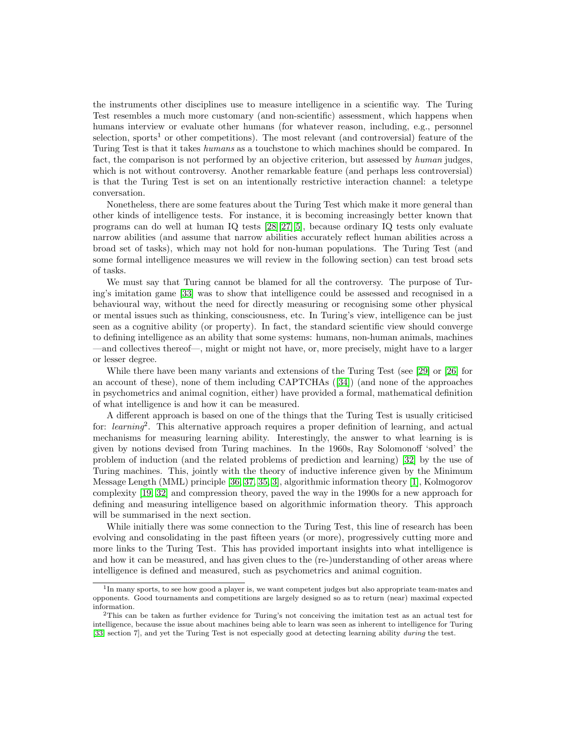the instruments other disciplines use to measure intelligence in a scientific way. The Turing Test resembles a much more customary (and non-scientific) assessment, which happens when humans interview or evaluate other humans (for whatever reason, including, e.g., personnel selection, sports<sup>1</sup> or other competitions). The most relevant (and controversial) feature of the Turing Test is that it takes humans as a touchstone to which machines should be compared. In fact, the comparison is not performed by an objective criterion, but assessed by human judges, which is not without controversy. Another remarkable feature (and perhaps less controversial) is that the Turing Test is set on an intentionally restrictive interaction channel: a teletype conversation.

Nonetheless, there are some features about the Turing Test which make it more general than other kinds of intelligence tests. For instance, it is becoming increasingly better known that programs can do well at human IQ tests [\[28\]](#page-16-1)[\[27\]](#page-16-2)[\[5\]](#page-15-0), because ordinary IQ tests only evaluate narrow abilities (and assume that narrow abilities accurately reflect human abilities across a broad set of tasks), which may not hold for non-human populations. The Turing Test (and some formal intelligence measures we will review in the following section) can test broad sets of tasks.

We must say that Turing cannot be blamed for all the controversy. The purpose of Turing's imitation game [\[33\]](#page-16-3) was to show that intelligence could be assessed and recognised in a behavioural way, without the need for directly measuring or recognising some other physical or mental issues such as thinking, consciousness, etc. In Turing's view, intelligence can be just seen as a cognitive ability (or property). In fact, the standard scientific view should converge to defining intelligence as an ability that some systems: humans, non-human animals, machines —and collectives thereof—, might or might not have, or, more precisely, might have to a larger or lesser degree.

While there have been many variants and extensions of the Turing Test (see [\[29\]](#page-16-4) or [\[26\]](#page-16-0) for an account of these), none of them including CAPTCHAs ([\[34\]](#page-16-5)) (and none of the approaches in psychometrics and animal cognition, either) have provided a formal, mathematical definition of what intelligence is and how it can be measured.

A different approach is based on one of the things that the Turing Test is usually criticised for: *learning*<sup>2</sup>. This alternative approach requires a proper definition of learning, and actual mechanisms for measuring learning ability. Interestingly, the answer to what learning is is given by notions devised from Turing machines. In the 1960s, Ray Solomonoff 'solved' the problem of induction (and the related problems of prediction and learning) [\[32\]](#page-16-6) by the use of Turing machines. This, jointly with the theory of inductive inference given by the Minimum Message Length (MML) principle [\[36,](#page-16-7) [37,](#page-16-8) [35,](#page-16-9) [3\]](#page-15-1), algorithmic information theory [\[1\]](#page-15-2), Kolmogorov complexity [\[19,](#page-16-10) [32\]](#page-16-6) and compression theory, paved the way in the 1990s for a new approach for defining and measuring intelligence based on algorithmic information theory. This approach will be summarised in the next section.

While initially there was some connection to the Turing Test, this line of research has been evolving and consolidating in the past fifteen years (or more), progressively cutting more and more links to the Turing Test. This has provided important insights into what intelligence is and how it can be measured, and has given clues to the (re-)understanding of other areas where intelligence is defined and measured, such as psychometrics and animal cognition.

<sup>&</sup>lt;sup>1</sup>In many sports, to see how good a player is, we want competent judges but also appropriate team-mates and opponents. Good tournaments and competitions are largely designed so as to return (near) maximal expected information.

<sup>2</sup>This can be taken as further evidence for Turing's not conceiving the imitation test as an actual test for intelligence, because the issue about machines being able to learn was seen as inherent to intelligence for Turing [\[33,](#page-16-3) section 7], and yet the Turing Test is not especially good at detecting learning ability during the test.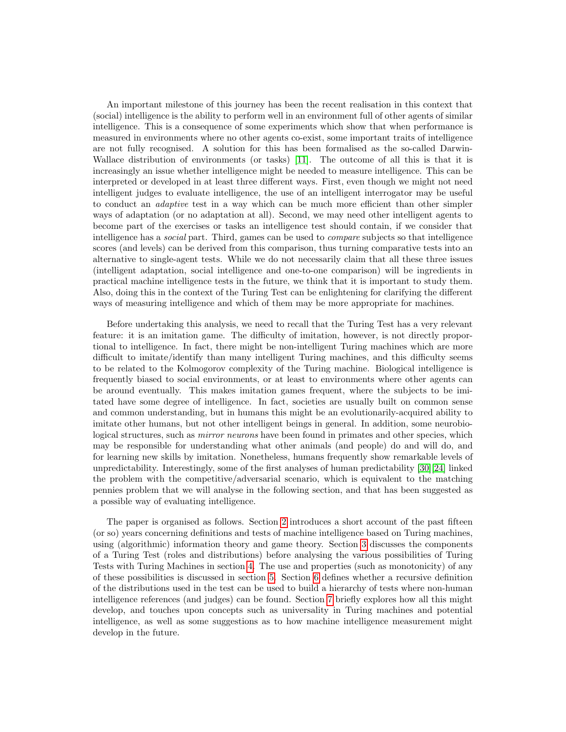An important milestone of this journey has been the recent realisation in this context that (social) intelligence is the ability to perform well in an environment full of other agents of similar intelligence. This is a consequence of some experiments which show that when performance is measured in environments where no other agents co-exist, some important traits of intelligence are not fully recognised. A solution for this has been formalised as the so-called Darwin-Wallace distribution of environments (or tasks) [\[11\]](#page-15-3). The outcome of all this is that it is increasingly an issue whether intelligence might be needed to measure intelligence. This can be interpreted or developed in at least three different ways. First, even though we might not need intelligent judges to evaluate intelligence, the use of an intelligent interrogator may be useful to conduct an adaptive test in a way which can be much more efficient than other simpler ways of adaptation (or no adaptation at all). Second, we may need other intelligent agents to become part of the exercises or tasks an intelligence test should contain, if we consider that intelligence has a social part. Third, games can be used to compare subjects so that intelligence scores (and levels) can be derived from this comparison, thus turning comparative tests into an alternative to single-agent tests. While we do not necessarily claim that all these three issues (intelligent adaptation, social intelligence and one-to-one comparison) will be ingredients in practical machine intelligence tests in the future, we think that it is important to study them. Also, doing this in the context of the Turing Test can be enlightening for clarifying the different ways of measuring intelligence and which of them may be more appropriate for machines.

Before undertaking this analysis, we need to recall that the Turing Test has a very relevant feature: it is an imitation game. The difficulty of imitation, however, is not directly proportional to intelligence. In fact, there might be non-intelligent Turing machines which are more difficult to imitate/identify than many intelligent Turing machines, and this difficulty seems to be related to the Kolmogorov complexity of the Turing machine. Biological intelligence is frequently biased to social environments, or at least to environments where other agents can be around eventually. This makes imitation games frequent, where the subjects to be imitated have some degree of intelligence. In fact, societies are usually built on common sense and common understanding, but in humans this might be an evolutionarily-acquired ability to imitate other humans, but not other intelligent beings in general. In addition, some neurobiological structures, such as *mirror neurons* have been found in primates and other species, which may be responsible for understanding what other animals (and people) do and will do, and for learning new skills by imitation. Nonetheless, humans frequently show remarkable levels of unpredictability. Interestingly, some of the first analyses of human predictability [\[30\]](#page-16-11)[\[24\]](#page-16-12) linked the problem with the competitive/adversarial scenario, which is equivalent to the matching pennies problem that we will analyse in the following section, and that has been suggested as a possible way of evaluating intelligence.

The paper is organised as follows. Section [2](#page-3-0) introduces a short account of the past fifteen (or so) years concerning definitions and tests of machine intelligence based on Turing machines, using (algorithmic) information theory and game theory. Section [3](#page-5-0) discusses the components of a Turing Test (roles and distributions) before analysing the various possibilities of Turing Tests with Turing Machines in section [4.](#page-6-0) The use and properties (such as monotonicity) of any of these possibilities is discussed in section [5.](#page-11-0) Section [6](#page-13-0) defines whether a recursive definition of the distributions used in the test can be used to build a hierarchy of tests where non-human intelligence references (and judges) can be found. Section [7](#page-14-0) briefly explores how all this might develop, and touches upon concepts such as universality in Turing machines and potential intelligence, as well as some suggestions as to how machine intelligence measurement might develop in the future.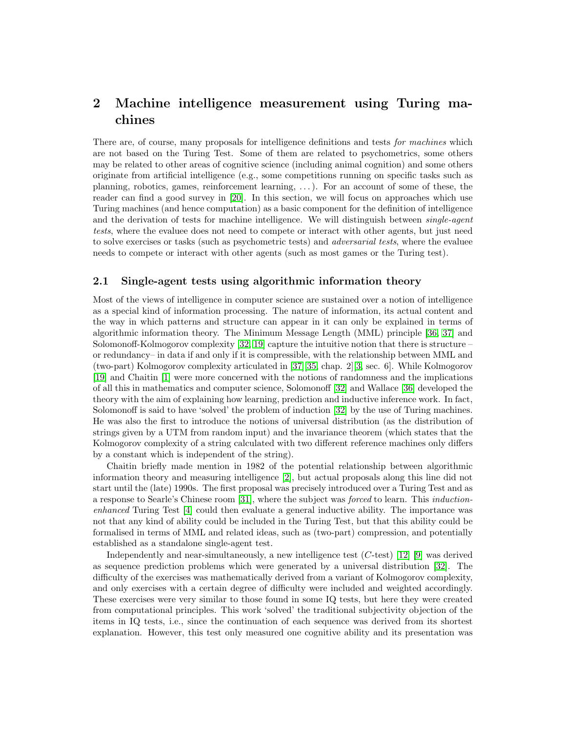# <span id="page-3-0"></span>2 Machine intelligence measurement using Turing machines

There are, of course, many proposals for intelligence definitions and tests *for machines* which are not based on the Turing Test. Some of them are related to psychometrics, some others may be related to other areas of cognitive science (including animal cognition) and some others originate from artificial intelligence (e.g., some competitions running on specific tasks such as planning, robotics, games, reinforcement learning, . . . ). For an account of some of these, the reader can find a good survey in [\[20\]](#page-16-13). In this section, we will focus on approaches which use Turing machines (and hence computation) as a basic component for the definition of intelligence and the derivation of tests for machine intelligence. We will distinguish between *single-agent* tests, where the evaluee does not need to compete or interact with other agents, but just need to solve exercises or tasks (such as psychometric tests) and adversarial tests, where the evaluee needs to compete or interact with other agents (such as most games or the Turing test).

#### <span id="page-3-1"></span>2.1 Single-agent tests using algorithmic information theory

Most of the views of intelligence in computer science are sustained over a notion of intelligence as a special kind of information processing. The nature of information, its actual content and the way in which patterns and structure can appear in it can only be explained in terms of algorithmic information theory. The Minimum Message Length (MML) principle [\[36,](#page-16-7) [37\]](#page-16-8) and Solomonoff-Kolmogorov complexity [\[32,](#page-16-6) [19\]](#page-16-10) capture the intuitive notion that there is structure – or redundancy– in data if and only if it is compressible, with the relationship between MML and (two-part) Kolmogorov complexity articulated in [\[37\]](#page-16-8)[\[35,](#page-16-9) chap. 2][\[3,](#page-15-1) sec. 6]. While Kolmogorov [\[19\]](#page-16-10) and Chaitin [\[1\]](#page-15-2) were more concerned with the notions of randomness and the implications of all this in mathematics and computer science, Solomonoff [\[32\]](#page-16-6) and Wallace [\[36\]](#page-16-7) developed the theory with the aim of explaining how learning, prediction and inductive inference work. In fact, Solomonoff is said to have 'solved' the problem of induction [\[32\]](#page-16-6) by the use of Turing machines. He was also the first to introduce the notions of universal distribution (as the distribution of strings given by a UTM from random input) and the invariance theorem (which states that the Kolmogorov complexity of a string calculated with two different reference machines only differs by a constant which is independent of the string).

Chaitin briefly made mention in 1982 of the potential relationship between algorithmic information theory and measuring intelligence [\[2\]](#page-15-4), but actual proposals along this line did not start until the (late) 1990s. The first proposal was precisely introduced over a Turing Test and as a response to Searle's Chinese room [\[31\]](#page-16-14), where the subject was forced to learn. This inductionenhanced Turing Test [\[4\]](#page-15-5) could then evaluate a general inductive ability. The importance was not that any kind of ability could be included in the Turing Test, but that this ability could be formalised in terms of MML and related ideas, such as (two-part) compression, and potentially established as a standalone single-agent test.

Independently and near-simultaneously, a new intelligence test  $(C$ -test) [\[12\]](#page-15-6) [\[9\]](#page-15-7) was derived as sequence prediction problems which were generated by a universal distribution [\[32\]](#page-16-6). The difficulty of the exercises was mathematically derived from a variant of Kolmogorov complexity, and only exercises with a certain degree of difficulty were included and weighted accordingly. These exercises were very similar to those found in some IQ tests, but here they were created from computational principles. This work 'solved' the traditional subjectivity objection of the items in IQ tests, i.e., since the continuation of each sequence was derived from its shortest explanation. However, this test only measured one cognitive ability and its presentation was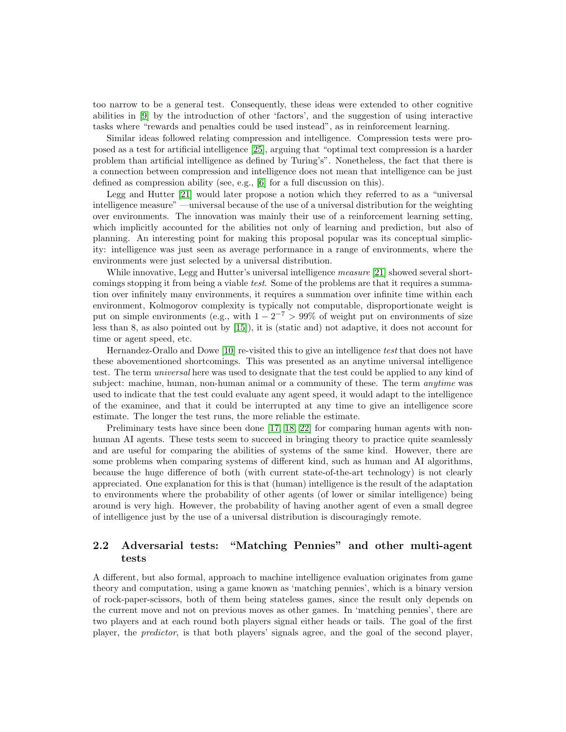too narrow to be a general test. Consequently, these ideas were extended to other cognitive abilities in [\[9\]](#page-15-7) by the introduction of other 'factors', and the suggestion of using interactive tasks where "rewards and penalties could be used instead", as in reinforcement learning.

Similar ideas followed relating compression and intelligence. Compression tests were proposed as a test for artificial intelligence [\[25\]](#page-16-15), arguing that "optimal text compression is a harder problem than artificial intelligence as defined by Turing's". Nonetheless, the fact that there is a connection between compression and intelligence does not mean that intelligence can be just defined as compression ability (see, e.g., [\[6\]](#page-15-8) for a full discussion on this).

Legg and Hutter [\[21\]](#page-16-16) would later propose a notion which they referred to as a "universal intelligence measure" —universal because of the use of a universal distribution for the weighting over environments. The innovation was mainly their use of a reinforcement learning setting, which implicitly accounted for the abilities not only of learning and prediction, but also of planning. An interesting point for making this proposal popular was its conceptual simplicity: intelligence was just seen as average performance in a range of environments, where the environments were just selected by a universal distribution.

While innovative, Legg and Hutter's universal intelligence *measure* [\[21\]](#page-16-16) showed several shortcomings stopping it from being a viable test. Some of the problems are that it requires a summation over infinitely many environments, it requires a summation over infinite time within each environment, Kolmogorov complexity is typically not computable, disproportionate weight is put on simple environments (e.g., with  $1 - 2^{-7} > 99\%$  of weight put on environments of size less than 8, as also pointed out by [\[15\]](#page-16-17)), it is (static and) not adaptive, it does not account for time or agent speed, etc.

Hernandez-Orallo and Dowe [\[10\]](#page-15-9) re-visited this to give an intelligence test that does not have these abovementioned shortcomings. This was presented as an anytime universal intelligence test. The term universal here was used to designate that the test could be applied to any kind of subject: machine, human, non-human animal or a community of these. The term *anytime* was used to indicate that the test could evaluate any agent speed, it would adapt to the intelligence of the examinee, and that it could be interrupted at any time to give an intelligence score estimate. The longer the test runs, the more reliable the estimate.

Preliminary tests have since been done [\[17,](#page-16-18) [18,](#page-16-19) [22\]](#page-16-20) for comparing human agents with nonhuman AI agents. These tests seem to succeed in bringing theory to practice quite seamlessly and are useful for comparing the abilities of systems of the same kind. However, there are some problems when comparing systems of different kind, such as human and AI algorithms, because the huge difference of both (with current state-of-the-art technology) is not clearly appreciated. One explanation for this is that (human) intelligence is the result of the adaptation to environments where the probability of other agents (of lower or similar intelligence) being around is very high. However, the probability of having another agent of even a small degree of intelligence just by the use of a universal distribution is discouragingly remote.

### <span id="page-4-0"></span>2.2 Adversarial tests: "Matching Pennies" and other multi-agent tests

A different, but also formal, approach to machine intelligence evaluation originates from game theory and computation, using a game known as 'matching pennies', which is a binary version of rock-paper-scissors, both of them being stateless games, since the result only depends on the current move and not on previous moves as other games. In 'matching pennies', there are two players and at each round both players signal either heads or tails. The goal of the first player, the predictor, is that both players' signals agree, and the goal of the second player,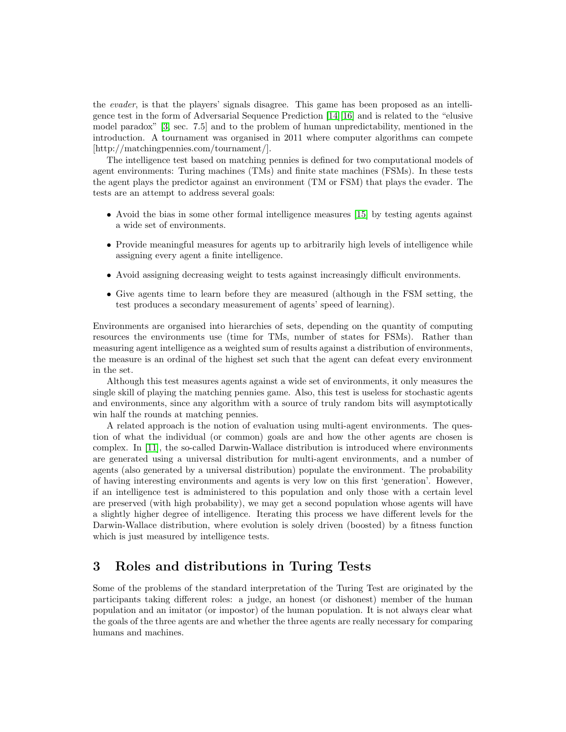the evader, is that the players' signals disagree. This game has been proposed as an intelligence test in the form of Adversarial Sequence Prediction [\[14\]](#page-15-10)[\[16\]](#page-16-21) and is related to the "elusive model paradox" [\[3,](#page-15-1) sec. 7.5] and to the problem of human unpredictability, mentioned in the introduction. A tournament was organised in 2011 where computer algorithms can compete [http://matchingpennies.com/tournament/].

The intelligence test based on matching pennies is defined for two computational models of agent environments: Turing machines (TMs) and finite state machines (FSMs). In these tests the agent plays the predictor against an environment (TM or FSM) that plays the evader. The tests are an attempt to address several goals:

- Avoid the bias in some other formal intelligence measures [\[15\]](#page-16-17) by testing agents against a wide set of environments.
- Provide meaningful measures for agents up to arbitrarily high levels of intelligence while assigning every agent a finite intelligence.
- Avoid assigning decreasing weight to tests against increasingly difficult environments.
- Give agents time to learn before they are measured (although in the FSM setting, the test produces a secondary measurement of agents' speed of learning).

Environments are organised into hierarchies of sets, depending on the quantity of computing resources the environments use (time for TMs, number of states for FSMs). Rather than measuring agent intelligence as a weighted sum of results against a distribution of environments, the measure is an ordinal of the highest set such that the agent can defeat every environment in the set.

Although this test measures agents against a wide set of environments, it only measures the single skill of playing the matching pennies game. Also, this test is useless for stochastic agents and environments, since any algorithm with a source of truly random bits will asymptotically win half the rounds at matching pennies.

A related approach is the notion of evaluation using multi-agent environments. The question of what the individual (or common) goals are and how the other agents are chosen is complex. In [\[11\]](#page-15-3), the so-called Darwin-Wallace distribution is introduced where environments are generated using a universal distribution for multi-agent environments, and a number of agents (also generated by a universal distribution) populate the environment. The probability of having interesting environments and agents is very low on this first 'generation'. However, if an intelligence test is administered to this population and only those with a certain level are preserved (with high probability), we may get a second population whose agents will have a slightly higher degree of intelligence. Iterating this process we have different levels for the Darwin-Wallace distribution, where evolution is solely driven (boosted) by a fitness function which is just measured by intelligence tests.

# <span id="page-5-0"></span>3 Roles and distributions in Turing Tests

Some of the problems of the standard interpretation of the Turing Test are originated by the participants taking different roles: a judge, an honest (or dishonest) member of the human population and an imitator (or impostor) of the human population. It is not always clear what the goals of the three agents are and whether the three agents are really necessary for comparing humans and machines.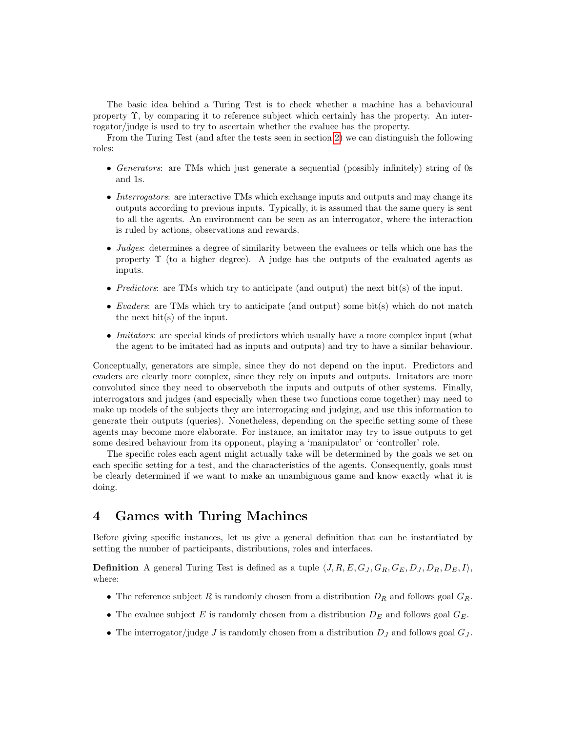The basic idea behind a Turing Test is to check whether a machine has a behavioural property Υ, by comparing it to reference subject which certainly has the property. An interrogator/judge is used to try to ascertain whether the evaluee has the property.

From the Turing Test (and after the tests seen in section [2\)](#page-3-0) we can distinguish the following roles:

- Generators: are TMs which just generate a sequential (possibly infinitely) string of 0s and 1s.
- Interrogators: are interactive TMs which exchange inputs and outputs and may change its outputs according to previous inputs. Typically, it is assumed that the same query is sent to all the agents. An environment can be seen as an interrogator, where the interaction is ruled by actions, observations and rewards.
- Judges: determines a degree of similarity between the evaluees or tells which one has the property  $\Upsilon$  (to a higher degree). A judge has the outputs of the evaluated agents as inputs.
- Predictors: are TMs which try to anticipate (and output) the next bit(s) of the input.
- Evaders: are TMs which try to anticipate (and output) some bit(s) which do not match the next bit(s) of the input.
- *Imitators*: are special kinds of predictors which usually have a more complex input (what the agent to be imitated had as inputs and outputs) and try to have a similar behaviour.

Conceptually, generators are simple, since they do not depend on the input. Predictors and evaders are clearly more complex, since they rely on inputs and outputs. Imitators are more convoluted since they need to observeboth the inputs and outputs of other systems. Finally, interrogators and judges (and especially when these two functions come together) may need to make up models of the subjects they are interrogating and judging, and use this information to generate their outputs (queries). Nonetheless, depending on the specific setting some of these agents may become more elaborate. For instance, an imitator may try to issue outputs to get some desired behaviour from its opponent, playing a 'manipulator' or 'controller' role.

The specific roles each agent might actually take will be determined by the goals we set on each specific setting for a test, and the characteristics of the agents. Consequently, goals must be clearly determined if we want to make an unambiguous game and know exactly what it is doing.

# <span id="page-6-0"></span>4 Games with Turing Machines

Before giving specific instances, let us give a general definition that can be instantiated by setting the number of participants, distributions, roles and interfaces.

**Definition** A general Turing Test is defined as a tuple  $\langle J, R, E, G_J, G_R, G_E, D_J, D_R, D_E, I \rangle$ , where:

- The reference subject R is randomly chosen from a distribution  $D_R$  and follows goal  $G_R$ .
- The evaluee subject E is randomly chosen from a distribution  $D<sub>E</sub>$  and follows goal  $G<sub>E</sub>$ .
- The interrogator/judge J is randomly chosen from a distribution  $D_J$  and follows goal  $G_J$ .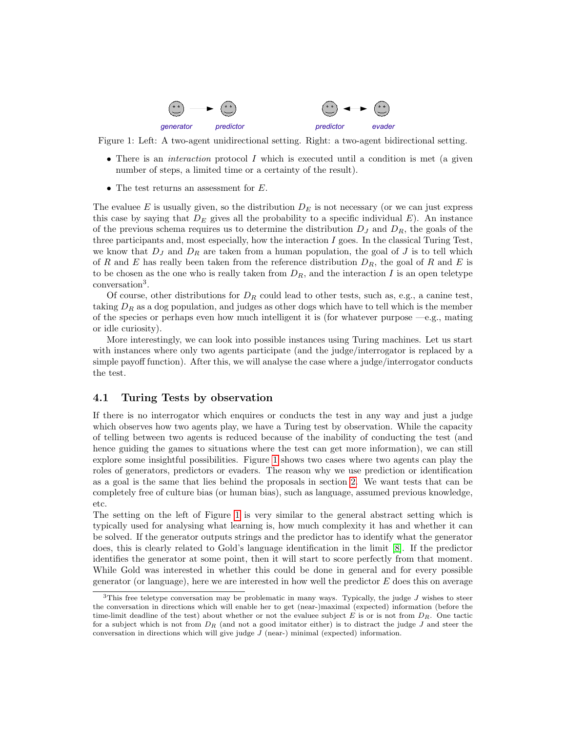

Figure 1: Left: A two-agent unidirectional setting. Right: a two-agent bidirectional setting.

- <span id="page-7-1"></span>• There is an *interaction* protocol  $I$  which is executed until a condition is met (a given number of steps, a limited time or a certainty of the result).
- The test returns an assessment for  $E$ .

The evaluee  $E$  is usually given, so the distribution  $D<sub>E</sub>$  is not necessary (or we can just express this case by saying that  $D<sub>E</sub>$  gives all the probability to a specific individual  $E$ ). An instance of the previous schema requires us to determine the distribution  $D_J$  and  $D_R$ , the goals of the three participants and, most especially, how the interaction I goes. In the classical Turing Test, we know that  $D_j$  and  $D_R$  are taken from a human population, the goal of J is to tell which of R and E has really been taken from the reference distribution  $D_R$ , the goal of R and E is to be chosen as the one who is really taken from  $D_R$ , and the interaction I is an open teletype conversation<sup>3</sup> .

Of course, other distributions for  $D_R$  could lead to other tests, such as, e.g., a canine test, taking  $D_R$  as a dog population, and judges as other dogs which have to tell which is the member of the species or perhaps even how much intelligent it is (for whatever purpose  $-e.g.,$  mating or idle curiosity).

More interestingly, we can look into possible instances using Turing machines. Let us start with instances where only two agents participate (and the judge/interrogator is replaced by a simple payoff function). After this, we will analyse the case where a judge/interrogator conducts the test.

#### <span id="page-7-0"></span>4.1 Turing Tests by observation

If there is no interrogator which enquires or conducts the test in any way and just a judge which observes how two agents play, we have a Turing test by observation. While the capacity of telling between two agents is reduced because of the inability of conducting the test (and hence guiding the games to situations where the test can get more information), we can still explore some insightful possibilities. Figure [1](#page-7-1) shows two cases where two agents can play the roles of generators, predictors or evaders. The reason why we use prediction or identification as a goal is the same that lies behind the proposals in section [2.](#page-3-0) We want tests that can be completely free of culture bias (or human bias), such as language, assumed previous knowledge, etc.

The setting on the left of Figure [1](#page-7-1) is very similar to the general abstract setting which is typically used for analysing what learning is, how much complexity it has and whether it can be solved. If the generator outputs strings and the predictor has to identify what the generator does, this is clearly related to Gold's language identification in the limit [\[8\]](#page-15-11). If the predictor identifies the generator at some point, then it will start to score perfectly from that moment. While Gold was interested in whether this could be done in general and for every possible generator (or language), here we are interested in how well the predictor  $E$  does this on average

<sup>&</sup>lt;sup>3</sup>This free teletype conversation may be problematic in many ways. Typically, the judge  $J$  wishes to steer the conversation in directions which will enable her to get (near-)maximal (expected) information (before the time-limit deadline of the test) about whether or not the evaluee subject E is or is not from  $D_R$ . One tactic for a subject which is not from  $D_R$  (and not a good imitator either) is to distract the judge J and steer the conversation in directions which will give judge  $J$  (near-) minimal (expected) information.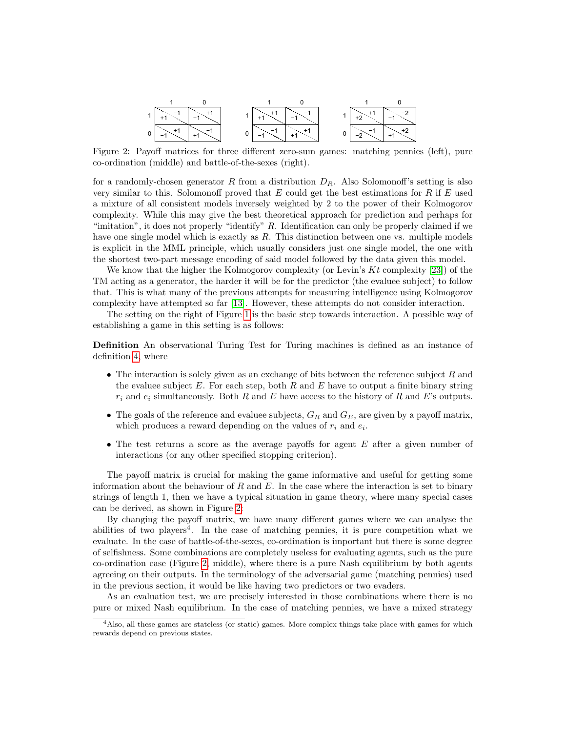$$
1\begin{array}{|c|c|c|c|}\hline 1 & 0 & 1 & 0 \\ \hline & +1 & -1 & -1 & -1 \\ \hline & -1 & -1 & -1 & -1 \\ \hline & -1 & -1 & -1 & -1 \\ \hline & -1 & -1 & -1 & -1 \\ \hline & -1 & -1 & -1 & -1 \\ \hline & -1 & -1 & -1 & -1 \\ \hline & -1 & -1 & -1 & -1 \\ \hline & -1 & -1 & -1 & -1 \\ \hline & -1 & -1 & -1 & -1 \\ \hline & -1 & -1 & -1 & -1 \\ \hline & -1 & -1 & -1 & -1 \\ \hline & -1 & -1 & -1 & -1 \\ \hline & -1 & -1 & -1 & -1 \\ \hline & -1 & -1 & -1 & -1 \\ \hline & -1 & -1 & -1 & -1 \\ \hline & -1 & -1 & -1 & -1 \\ \hline & -1 & -1 & -1 & -1 \\ \hline & -1 & -1 & -1 & -1 \\ \hline & -1 & -1 & -1 & -1 \\ \hline & -1 & -1 & -1 & -1 \\ \hline & -1 & -1 & -1 & -1 \\ \hline & -1 & -1 & -1 & -1 \\ \hline & -1 & -1 & -1 & -1 \\ \hline & -1 & -1 & -1 & -1 \\ \hline & -1 & -1 & -1 & -1 \\ \hline & -1 & -1 & -1 & -1 \\ \hline & -1 & -1 & -1 & -1 \\ \hline & -1 & -1 & -1 & -1 \\ \hline & -1 & -1 & -1 & -1 \\ \hline & -1 & -1 & -1 & -1 \\ \hline & -1 & -1 & -1 & -1 \\ \hline & -1 & -1 & -1 & -1 \\ \hline & -1 & -1 & -1 & -1 \\ \hline & -1 & -1 & -1 & -1 \\ \hline & -1 & -1 & -1 & -1 \\ \hline & -1 & -1 & -1 & -1 \\ \hline & -1 & -1 & -1 & -1 \\ \hline & -1 & -1 & -1 & -1 \\ \hline & -1 & -1 & -1 & -1 \\ \hline & -1 & -1 & -1 & -1 \\ \hline & -1 & -1 & -1 & -1 \\ \hline & -1 & -1 & -1 & -1 \\ \hline & -1 & -1 & -1 & -1 \\ \hline & -1 & -1 & -1 & -1 \\ \hline & -1 & -1 & -1 & -1 \\ \hline & -1 & -1
$$

<span id="page-8-0"></span>Figure 2: Payoff matrices for three different zero-sum games: matching pennies (left), pure co-ordination (middle) and battle-of-the-sexes (right).

for a randomly-chosen generator R from a distribution  $D_R$ . Also Solomonoff's setting is also very similar to this. Solomonoff proved that  $E$  could get the best estimations for  $R$  if  $E$  used a mixture of all consistent models inversely weighted by 2 to the power of their Kolmogorov complexity. While this may give the best theoretical approach for prediction and perhaps for "imitation", it does not properly "identify" R. Identification can only be properly claimed if we have one single model which is exactly as  $R$ . This distinction between one vs. multiple models is explicit in the MML principle, which usually considers just one single model, the one with the shortest two-part message encoding of said model followed by the data given this model.

We know that the higher the Kolmogorov complexity (or Levin's  $Kt$  complexity [\[23\]](#page-16-22)) of the TM acting as a generator, the harder it will be for the predictor (the evaluee subject) to follow that. This is what many of the previous attempts for measuring intelligence using Kolmogorov complexity have attempted so far [\[13\]](#page-15-12). However, these attempts do not consider interaction.

The setting on the right of Figure [1](#page-7-1) is the basic step towards interaction. A possible way of establishing a game in this setting is as follows:

Definition An observational Turing Test for Turing machines is defined as an instance of definition [4,](#page-6-0) where

- The interaction is solely given as an exchange of bits between the reference subject  $R$  and the evaluee subject  $E$ . For each step, both  $R$  and  $E$  have to output a finite binary string  $r_i$  and  $e_i$  simultaneously. Both R and E have access to the history of R and E's outputs.
- The goals of the reference and evaluee subjects,  $G_R$  and  $G_E$ , are given by a payoff matrix, which produces a reward depending on the values of  $r_i$  and  $e_i$ .
- The test returns a score as the average payoffs for agent  $E$  after a given number of interactions (or any other specified stopping criterion).

The payoff matrix is crucial for making the game informative and useful for getting some information about the behaviour of  $R$  and  $E$ . In the case where the interaction is set to binary strings of length 1, then we have a typical situation in game theory, where many special cases can be derived, as shown in Figure [2:](#page-8-0)

By changing the payoff matrix, we have many different games where we can analyse the abilities of two players<sup>4</sup>. In the case of matching pennies, it is pure competition what we evaluate. In the case of battle-of-the-sexes, co-ordination is important but there is some degree of selfishness. Some combinations are completely useless for evaluating agents, such as the pure co-ordination case (Figure [2,](#page-8-0) middle), where there is a pure Nash equilibrium by both agents agreeing on their outputs. In the terminology of the adversarial game (matching pennies) used in the previous section, it would be like having two predictors or two evaders.

As an evaluation test, we are precisely interested in those combinations where there is no pure or mixed Nash equilibrium. In the case of matching pennies, we have a mixed strategy

<sup>4</sup>Also, all these games are stateless (or static) games. More complex things take place with games for which rewards depend on previous states.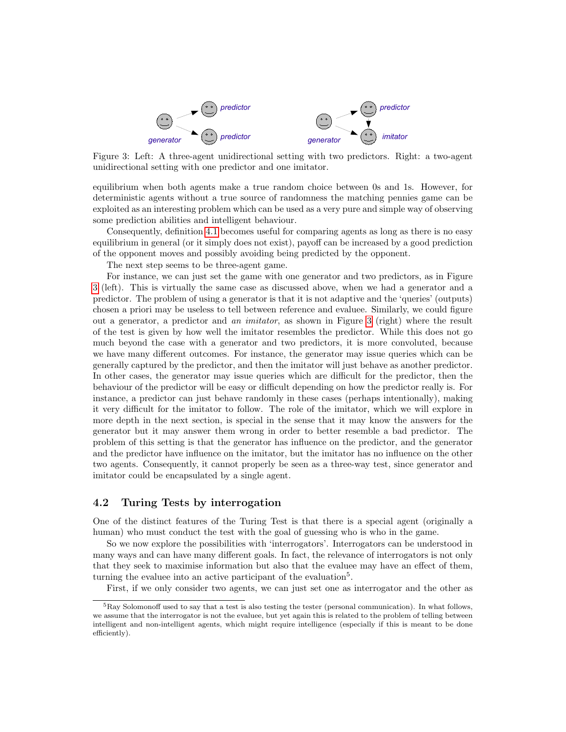

<span id="page-9-1"></span>Figure 3: Left: A three-agent unidirectional setting with two predictors. Right: a two-agent unidirectional setting with one predictor and one imitator.

equilibrium when both agents make a true random choice between 0s and 1s. However, for deterministic agents without a true source of randomness the matching pennies game can be exploited as an interesting problem which can be used as a very pure and simple way of observing some prediction abilities and intelligent behaviour.

Consequently, definition [4.1](#page-7-1) becomes useful for comparing agents as long as there is no easy equilibrium in general (or it simply does not exist), payoff can be increased by a good prediction of the opponent moves and possibly avoiding being predicted by the opponent.

The next step seems to be three-agent game.

For instance, we can just set the game with one generator and two predictors, as in Figure [3](#page-9-1) (left). This is virtually the same case as discussed above, when we had a generator and a predictor. The problem of using a generator is that it is not adaptive and the 'queries' (outputs) chosen a priori may be useless to tell between reference and evaluee. Similarly, we could figure out a generator, a predictor and an imitator, as shown in Figure [3](#page-9-1) (right) where the result of the test is given by how well the imitator resembles the predictor. While this does not go much beyond the case with a generator and two predictors, it is more convoluted, because we have many different outcomes. For instance, the generator may issue queries which can be generally captured by the predictor, and then the imitator will just behave as another predictor. In other cases, the generator may issue queries which are difficult for the predictor, then the behaviour of the predictor will be easy or difficult depending on how the predictor really is. For instance, a predictor can just behave randomly in these cases (perhaps intentionally), making it very difficult for the imitator to follow. The role of the imitator, which we will explore in more depth in the next section, is special in the sense that it may know the answers for the generator but it may answer them wrong in order to better resemble a bad predictor. The problem of this setting is that the generator has influence on the predictor, and the generator and the predictor have influence on the imitator, but the imitator has no influence on the other two agents. Consequently, it cannot properly be seen as a three-way test, since generator and imitator could be encapsulated by a single agent.

#### <span id="page-9-0"></span>4.2 Turing Tests by interrogation

One of the distinct features of the Turing Test is that there is a special agent (originally a human) who must conduct the test with the goal of guessing who is who in the game.

So we now explore the possibilities with 'interrogators'. Interrogators can be understood in many ways and can have many different goals. In fact, the relevance of interrogators is not only that they seek to maximise information but also that the evaluee may have an effect of them, turning the evaluee into an active participant of the evaluation<sup>5</sup>.

First, if we only consider two agents, we can just set one as interrogator and the other as

<sup>&</sup>lt;sup>5</sup>Ray Solomonoff used to say that a test is also testing the tester (personal communication). In what follows, we assume that the interrogator is not the evaluee, but yet again this is related to the problem of telling between intelligent and non-intelligent agents, which might require intelligence (especially if this is meant to be done efficiently).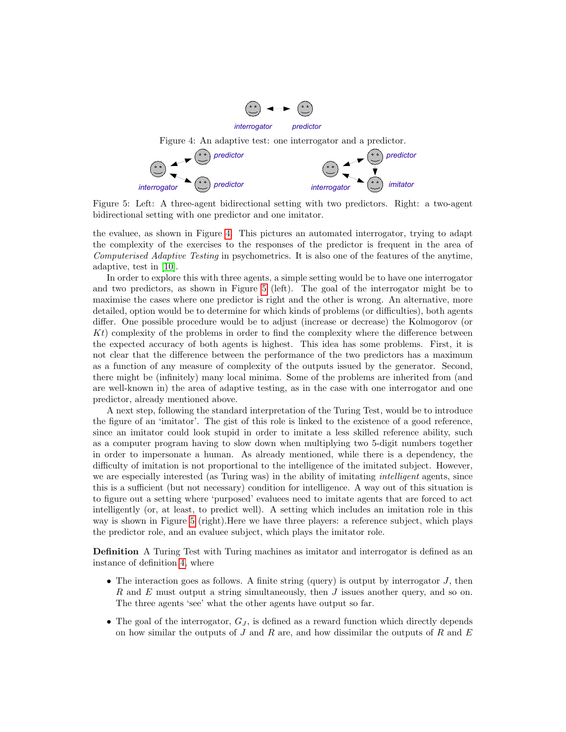<span id="page-10-0"></span>

<span id="page-10-1"></span>Figure 5: Left: A three-agent bidirectional setting with two predictors. Right: a two-agent bidirectional setting with one predictor and one imitator.

the evaluee, as shown in Figure [4.](#page-10-0) This pictures an automated interrogator, trying to adapt the complexity of the exercises to the responses of the predictor is frequent in the area of Computerised Adaptive Testing in psychometrics. It is also one of the features of the anytime, adaptive, test in [\[10\]](#page-15-9).

In order to explore this with three agents, a simple setting would be to have one interrogator and two predictors, as shown in Figure [5](#page-10-1) (left). The goal of the interrogator might be to maximise the cases where one predictor is right and the other is wrong. An alternative, more detailed, option would be to determine for which kinds of problems (or difficulties), both agents differ. One possible procedure would be to adjust (increase or decrease) the Kolmogorov (or Kt) complexity of the problems in order to find the complexity where the difference between the expected accuracy of both agents is highest. This idea has some problems. First, it is not clear that the difference between the performance of the two predictors has a maximum as a function of any measure of complexity of the outputs issued by the generator. Second, there might be (infinitely) many local minima. Some of the problems are inherited from (and are well-known in) the area of adaptive testing, as in the case with one interrogator and one predictor, already mentioned above.

A next step, following the standard interpretation of the Turing Test, would be to introduce the figure of an 'imitator'. The gist of this role is linked to the existence of a good reference, since an imitator could look stupid in order to imitate a less skilled reference ability, such as a computer program having to slow down when multiplying two 5-digit numbers together in order to impersonate a human. As already mentioned, while there is a dependency, the difficulty of imitation is not proportional to the intelligence of the imitated subject. However, we are especially interested (as Turing was) in the ability of imitating intelligent agents, since this is a sufficient (but not necessary) condition for intelligence. A way out of this situation is to figure out a setting where 'purposed' evaluees need to imitate agents that are forced to act intelligently (or, at least, to predict well). A setting which includes an imitation role in this way is shown in Figure [5](#page-10-1) (right).Here we have three players: a reference subject, which plays the predictor role, and an evaluee subject, which plays the imitator role.

Definition A Turing Test with Turing machines as imitator and interrogator is defined as an instance of definition [4,](#page-6-0) where

- The interaction goes as follows. A finite string (query) is output by interrogator  $J$ , then R and E must output a string simultaneously, then J issues another query, and so on. The three agents 'see' what the other agents have output so far.
- The goal of the interrogator,  $G_J$ , is defined as a reward function which directly depends on how similar the outputs of  $J$  and  $R$  are, and how dissimilar the outputs of  $R$  and  $E$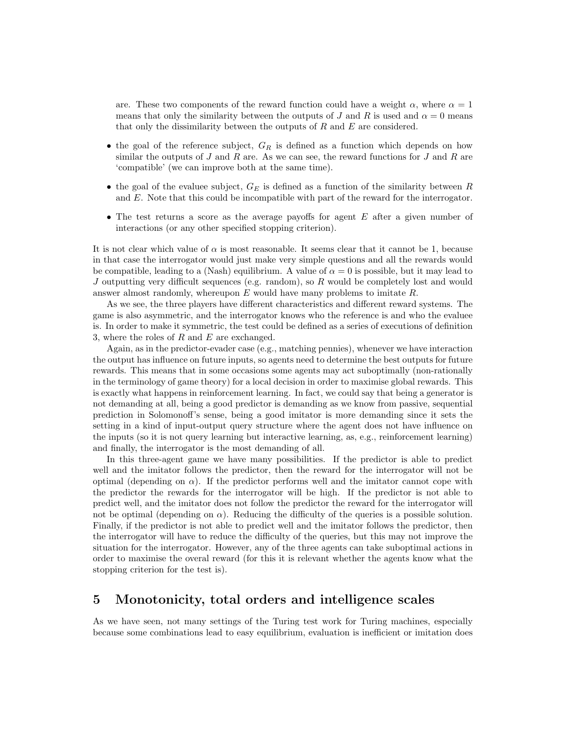are. These two components of the reward function could have a weight  $\alpha$ , where  $\alpha = 1$ means that only the similarity between the outputs of J and R is used and  $\alpha = 0$  means that only the dissimilarity between the outputs of  $R$  and  $E$  are considered.

- the goal of the reference subject,  $G_R$  is defined as a function which depends on how similar the outputs of  $J$  and  $R$  are. As we can see, the reward functions for  $J$  and  $R$  are 'compatible' (we can improve both at the same time).
- the goal of the evaluee subject,  $G_E$  is defined as a function of the similarity between R and E. Note that this could be incompatible with part of the reward for the interrogator.
- The test returns a score as the average payoffs for agent  $E$  after a given number of interactions (or any other specified stopping criterion).

It is not clear which value of  $\alpha$  is most reasonable. It seems clear that it cannot be 1, because in that case the interrogator would just make very simple questions and all the rewards would be compatible, leading to a (Nash) equilibrium. A value of  $\alpha = 0$  is possible, but it may lead to J outputting very difficult sequences (e.g. random), so  $R$  would be completely lost and would answer almost randomly, whereupon  $E$  would have many problems to imitate  $R$ .

As we see, the three players have different characteristics and different reward systems. The game is also asymmetric, and the interrogator knows who the reference is and who the evaluee is. In order to make it symmetric, the test could be defined as a series of executions of definition 3, where the roles of  $R$  and  $E$  are exchanged.

Again, as in the predictor-evader case (e.g., matching pennies), whenever we have interaction the output has influence on future inputs, so agents need to determine the best outputs for future rewards. This means that in some occasions some agents may act suboptimally (non-rationally in the terminology of game theory) for a local decision in order to maximise global rewards. This is exactly what happens in reinforcement learning. In fact, we could say that being a generator is not demanding at all, being a good predictor is demanding as we know from passive, sequential prediction in Solomonoff's sense, being a good imitator is more demanding since it sets the setting in a kind of input-output query structure where the agent does not have influence on the inputs (so it is not query learning but interactive learning, as, e.g., reinforcement learning) and finally, the interrogator is the most demanding of all.

In this three-agent game we have many possibilities. If the predictor is able to predict well and the imitator follows the predictor, then the reward for the interrogator will not be optimal (depending on  $\alpha$ ). If the predictor performs well and the imitator cannot cope with the predictor the rewards for the interrogator will be high. If the predictor is not able to predict well, and the imitator does not follow the predictor the reward for the interrogator will not be optimal (depending on  $\alpha$ ). Reducing the difficulty of the queries is a possible solution. Finally, if the predictor is not able to predict well and the imitator follows the predictor, then the interrogator will have to reduce the difficulty of the queries, but this may not improve the situation for the interrogator. However, any of the three agents can take suboptimal actions in order to maximise the overal reward (for this it is relevant whether the agents know what the stopping criterion for the test is).

## <span id="page-11-0"></span>5 Monotonicity, total orders and intelligence scales

As we have seen, not many settings of the Turing test work for Turing machines, especially because some combinations lead to easy equilibrium, evaluation is inefficient or imitation does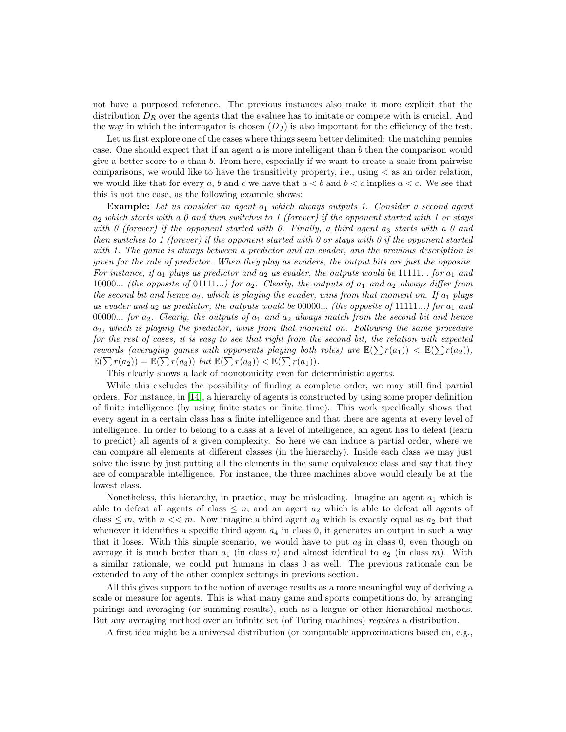not have a purposed reference. The previous instances also make it more explicit that the distribution  $D_R$  over the agents that the evaluee has to imitate or compete with is crucial. And the way in which the interrogator is chosen  $(D<sub>J</sub>)$  is also important for the efficiency of the test.

Let us first explore one of the cases where things seem better delimited: the matching pennies case. One should expect that if an agent  $a$  is more intelligent than  $b$  then the comparison would give a better score to a than b. From here, especially if we want to create a scale from pairwise comparisons, we would like to have the transitivity property, i.e., using  $\lt$  as an order relation, we would like that for every a, b and c we have that  $a < b$  and  $b < c$  implies  $a < c$ . We see that this is not the case, as the following example shows:

**Example:** Let us consider an agent  $a_1$  which always outputs 1. Consider a second agent  $a_2$  which starts with a 0 and then switches to 1 (forever) if the opponent started with 1 or stays with  $0$  (forever) if the opponent started with  $0$ . Finally, a third agent  $a_3$  starts with a  $0$  and then switches to 1 (forever) if the opponent started with 0 or stays with 0 if the opponent started with 1. The game is always between a predictor and an evader, and the previous description is given for the role of predictor. When they play as evaders, the output bits are just the opposite. For instance, if  $a_1$  plays as predictor and  $a_2$  as evader, the outputs would be 11111... for  $a_1$  and 10000... (the opposite of 01111...) for  $a_2$ . Clearly, the outputs of  $a_1$  and  $a_2$  always differ from the second bit and hence  $a_2$ , which is playing the evader, wins from that moment on. If  $a_1$  plays as evader and  $a_2$  as predictor, the outputs would be 00000... (the opposite of 11111...) for  $a_1$  and 00000... for  $a_2$ . Clearly, the outputs of  $a_1$  and  $a_2$  always match from the second bit and hence  $a_2$ , which is playing the predictor, wins from that moment on. Following the same procedure for the rest of cases, it is easy to see that right from the second bit, the relation with expected rewards (averaging games with opponents playing both roles) are  $\mathbb{E}(\sum r(a_1)) < \mathbb{E}(\sum r(a_2)),$  $\mathbb{E}(\sum r(a_2)) = \mathbb{E}(\sum r(a_3))$  but  $\mathbb{E}(\sum r(a_3)) < \mathbb{E}(\sum r(a_1)).$ 

This clearly shows a lack of monotonicity even for deterministic agents.

While this excludes the possibility of finding a complete order, we may still find partial orders. For instance, in [\[14\]](#page-15-10), a hierarchy of agents is constructed by using some proper definition of finite intelligence (by using finite states or finite time). This work specifically shows that every agent in a certain class has a finite intelligence and that there are agents at every level of intelligence. In order to belong to a class at a level of intelligence, an agent has to defeat (learn to predict) all agents of a given complexity. So here we can induce a partial order, where we can compare all elements at different classes (in the hierarchy). Inside each class we may just solve the issue by just putting all the elements in the same equivalence class and say that they are of comparable intelligence. For instance, the three machines above would clearly be at the lowest class.

Nonetheless, this hierarchy, in practice, may be misleading. Imagine an agent  $a_1$  which is able to defeat all agents of class  $\leq n$ , and an agent  $a_2$  which is able to defeat all agents of class  $\leq m$ , with  $n \lt \lt m$ . Now imagine a third agent  $a_3$  which is exactly equal as  $a_2$  but that whenever it identifies a specific third agent  $a_4$  in class 0, it generates an output in such a way that it loses. With this simple scenario, we would have to put  $a_3$  in class 0, even though on average it is much better than  $a_1$  (in class n) and almost identical to  $a_2$  (in class m). With a similar rationale, we could put humans in class 0 as well. The previous rationale can be extended to any of the other complex settings in previous section.

All this gives support to the notion of average results as a more meaningful way of deriving a scale or measure for agents. This is what many game and sports competitions do, by arranging pairings and averaging (or summing results), such as a league or other hierarchical methods. But any averaging method over an infinite set (of Turing machines) requires a distribution.

A first idea might be a universal distribution (or computable approximations based on, e.g.,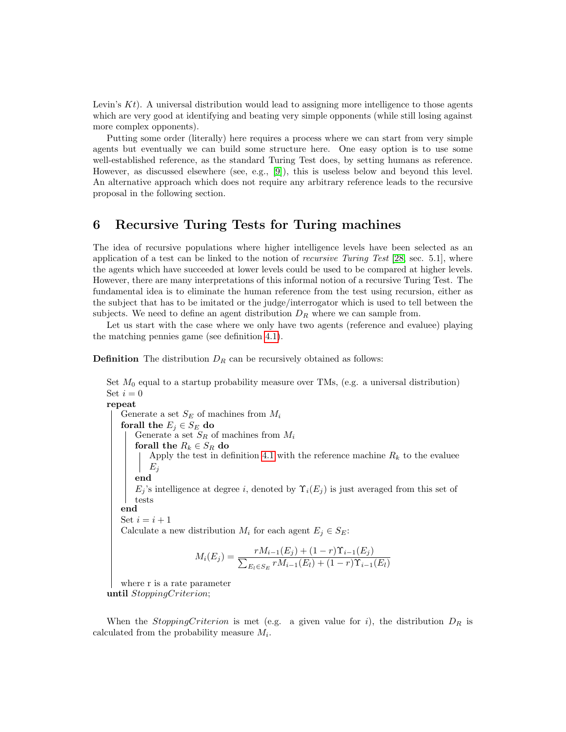Levin's  $Kt$ ). A universal distribution would lead to assigning more intelligence to those agents which are very good at identifying and beating very simple opponents (while still losing against more complex opponents).

Putting some order (literally) here requires a process where we can start from very simple agents but eventually we can build some structure here. One easy option is to use some well-established reference, as the standard Turing Test does, by setting humans as reference. However, as discussed elsewhere (see, e.g., [\[9\]](#page-15-7)), this is useless below and beyond this level. An alternative approach which does not require any arbitrary reference leads to the recursive proposal in the following section.

# <span id="page-13-0"></span>6 Recursive Turing Tests for Turing machines

The idea of recursive populations where higher intelligence levels have been selected as an application of a test can be linked to the notion of *recursive Turing Test*  $[28, \text{sec. } 5.1]$  $[28, \text{sec. } 5.1]$ , where the agents which have succeeded at lower levels could be used to be compared at higher levels. However, there are many interpretations of this informal notion of a recursive Turing Test. The fundamental idea is to eliminate the human reference from the test using recursion, either as the subject that has to be imitated or the judge/interrogator which is used to tell between the subjects. We need to define an agent distribution  $D_R$  where we can sample from.

Let us start with the case where we only have two agents (reference and evaluee) playing the matching pennies game (see definition [4.1\)](#page-7-1).

**Definition** The distribution  $D_R$  can be recursively obtained as follows:

Set  $M_0$  equal to a startup probability measure over TMs, (e.g. a universal distribution) Set  $i=0$ 

repeat Generate a set  $S_E$  of machines from  $M_i$ forall the  $E_j \in S_E$  do Generate a set  $S_R$  of machines from  $M_i$ forall the  $R_k \in S_R$  do Apply the test in definition [4.1](#page-7-1) with the reference machine  $R_k$  to the evaluee  $E_i$ end  $E_j$ 's intelligence at degree i, denoted by  $\Upsilon_i(E_j)$  is just averaged from this set of tests end Set  $i = i + 1$ Calculate a new distribution  $M_i$  for each agent  $E_j \in S_E$ :  $M_i(E_j) = \frac{rM_{i-1}(E_j) + (1-r)\Upsilon_{i-1}(E_j)}{\sum_{E_l \in S_E} rM_{i-1}(E_l) + (1-r)\Upsilon_{i-1}(E_l)}$ 

where r is a rate parameter until StoppingCriterion;

When the *StoppingCriterion* is met (e.g. a given value for i), the distribution  $D_R$  is calculated from the probability measure  $M_i$ .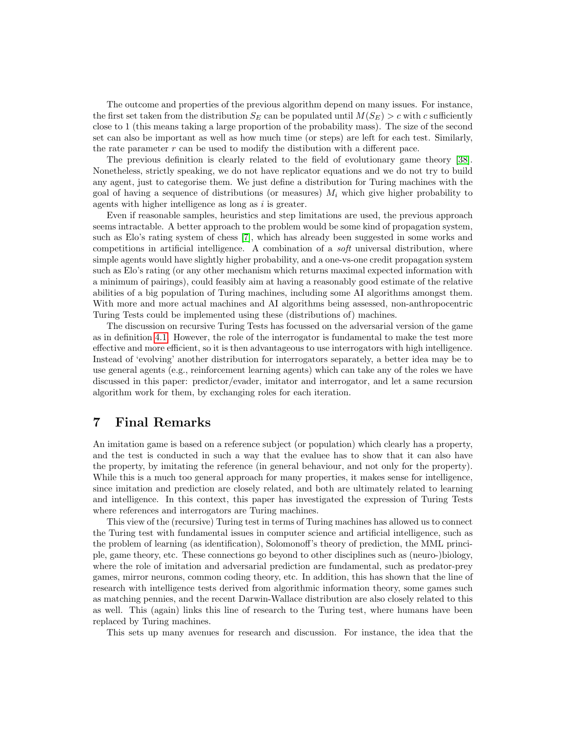The outcome and properties of the previous algorithm depend on many issues. For instance, the first set taken from the distribution  $S_E$  can be populated until  $M(S_E) > c$  with c sufficiently close to 1 (this means taking a large proportion of the probability mass). The size of the second set can also be important as well as how much time (or steps) are left for each test. Similarly, the rate parameter  $r$  can be used to modify the distibution with a different pace.

The previous definition is clearly related to the field of evolutionary game theory [\[38\]](#page-16-23). Nonetheless, strictly speaking, we do not have replicator equations and we do not try to build any agent, just to categorise them. We just define a distribution for Turing machines with the goal of having a sequence of distributions (or measures)  $M_i$  which give higher probability to agents with higher intelligence as long as i is greater.

Even if reasonable samples, heuristics and step limitations are used, the previous approach seems intractable. A better approach to the problem would be some kind of propagation system, such as Elo's rating system of chess [\[7\]](#page-15-13), which has already been suggested in some works and competitions in artificial intelligence. A combination of a soft universal distribution, where simple agents would have slightly higher probability, and a one-vs-one credit propagation system such as Elo's rating (or any other mechanism which returns maximal expected information with a minimum of pairings), could feasibly aim at having a reasonably good estimate of the relative abilities of a big population of Turing machines, including some AI algorithms amongst them. With more and more actual machines and AI algorithms being assessed, non-anthropocentric Turing Tests could be implemented using these (distributions of) machines.

The discussion on recursive Turing Tests has focussed on the adversarial version of the game as in definition [4.1.](#page-7-1) However, the role of the interrogator is fundamental to make the test more effective and more efficient, so it is then advantageous to use interrogators with high intelligence. Instead of 'evolving' another distribution for interrogators separately, a better idea may be to use general agents (e.g., reinforcement learning agents) which can take any of the roles we have discussed in this paper: predictor/evader, imitator and interrogator, and let a same recursion algorithm work for them, by exchanging roles for each iteration.

# <span id="page-14-0"></span>7 Final Remarks

An imitation game is based on a reference subject (or population) which clearly has a property, and the test is conducted in such a way that the evaluee has to show that it can also have the property, by imitating the reference (in general behaviour, and not only for the property). While this is a much too general approach for many properties, it makes sense for intelligence, since imitation and prediction are closely related, and both are ultimately related to learning and intelligence. In this context, this paper has investigated the expression of Turing Tests where references and interrogators are Turing machines.

This view of the (recursive) Turing test in terms of Turing machines has allowed us to connect the Turing test with fundamental issues in computer science and artificial intelligence, such as the problem of learning (as identification), Solomonoff's theory of prediction, the MML principle, game theory, etc. These connections go beyond to other disciplines such as (neuro-)biology, where the role of imitation and adversarial prediction are fundamental, such as predator-prey games, mirror neurons, common coding theory, etc. In addition, this has shown that the line of research with intelligence tests derived from algorithmic information theory, some games such as matching pennies, and the recent Darwin-Wallace distribution are also closely related to this as well. This (again) links this line of research to the Turing test, where humans have been replaced by Turing machines.

This sets up many avenues for research and discussion. For instance, the idea that the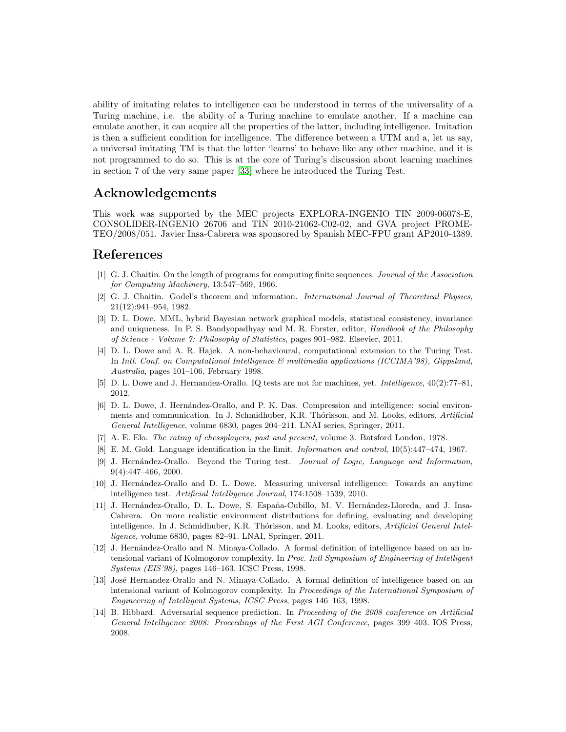ability of imitating relates to intelligence can be understood in terms of the universality of a Turing machine, i.e. the ability of a Turing machine to emulate another. If a machine can emulate another, it can acquire all the properties of the latter, including intelligence. Imitation is then a sufficient condition for intelligence. The difference between a UTM and a, let us say, a universal imitating TM is that the latter 'learns' to behave like any other machine, and it is not programmed to do so. This is at the core of Turing's discussion about learning machines in section 7 of the very same paper [\[33\]](#page-16-3) where he introduced the Turing Test.

## Acknowledgements

This work was supported by the MEC projects EXPLORA-INGENIO TIN 2009-06078-E, CONSOLIDER-INGENIO 26706 and TIN 2010-21062-C02-02, and GVA project PROME-TEO/2008/051. Javier Insa-Cabrera was sponsored by Spanish MEC-FPU grant AP2010-4389.

### References

- <span id="page-15-2"></span>[1] G. J. Chaitin. On the length of programs for computing finite sequences. Journal of the Association for Computing Machinery, 13:547–569, 1966.
- <span id="page-15-4"></span>[2] G. J. Chaitin. Godel's theorem and information. International Journal of Theoretical Physics, 21(12):941–954, 1982.
- <span id="page-15-1"></span>[3] D. L. Dowe. MML, hybrid Bayesian network graphical models, statistical consistency, invariance and uniqueness. In P. S. Bandyopadhyay and M. R. Forster, editor, *Handbook of the Philosophy* of Science - Volume 7: Philosophy of Statistics, pages 901–982. Elsevier, 2011.
- <span id="page-15-5"></span>[4] D. L. Dowe and A. R. Hajek. A non-behavioural, computational extension to the Turing Test. In Intl. Conf. on Computational Intelligence & multimedia applications (ICCIMA'98), Gippsland, Australia, pages 101–106, February 1998.
- <span id="page-15-0"></span>[5] D. L. Dowe and J. Hernandez-Orallo. IQ tests are not for machines, yet. Intelligence, 40(2):77–81, 2012.
- <span id="page-15-8"></span>[6] D. L. Dowe, J. Hernández-Orallo, and P. K. Das. Compression and intelligence: social environments and communication. In J. Schmidhuber, K.R. Thórisson, and M. Looks, editors, Artificial General Intelligence, volume 6830, pages 204–211. LNAI series, Springer, 2011.
- <span id="page-15-13"></span>[7] A. E. Elo. The rating of chessplayers, past and present, volume 3. Batsford London, 1978.
- <span id="page-15-11"></span>[8] E. M. Gold. Language identification in the limit. Information and control, 10(5):447–474, 1967.
- <span id="page-15-7"></span>[9] J. Hernández-Orallo. Beyond the Turing test. Journal of Logic, Language and Information, 9(4):447–466, 2000.
- <span id="page-15-9"></span>[10] J. Hernández-Orallo and D. L. Dowe. Measuring universal intelligence: Towards an anytime intelligence test. Artificial Intelligence Journal, 174:1508–1539, 2010.
- <span id="page-15-3"></span>[11] J. Hernández-Orallo, D. L. Dowe, S. España-Cubillo, M. V. Hernández-Lloreda, and J. Insa-Cabrera. On more realistic environment distributions for defining, evaluating and developing intelligence. In J. Schmidhuber, K.R. Thórisson, and M. Looks, editors, Artificial General Intelligence, volume 6830, pages 82–91. LNAI, Springer, 2011.
- <span id="page-15-6"></span>[12] J. Hernández-Orallo and N. Minaya-Collado. A formal definition of intelligence based on an intensional variant of Kolmogorov complexity. In Proc. Intl Symposium of Engineering of Intelligent Systems (EIS'98), pages 146–163. ICSC Press, 1998.
- <span id="page-15-12"></span>[13] José Hernandez-Orallo and N. Minaya-Collado. A formal definition of intelligence based on an intensional variant of Kolmogorov complexity. In Proceedings of the International Symposium of Engineering of Intelligent Systems, ICSC Press, pages 146–163, 1998.
- <span id="page-15-10"></span>[14] B. Hibbard. Adversarial sequence prediction. In Proceeding of the 2008 conference on Artificial General Intelligence 2008: Proceedings of the First AGI Conference, pages 399–403. IOS Press, 2008.